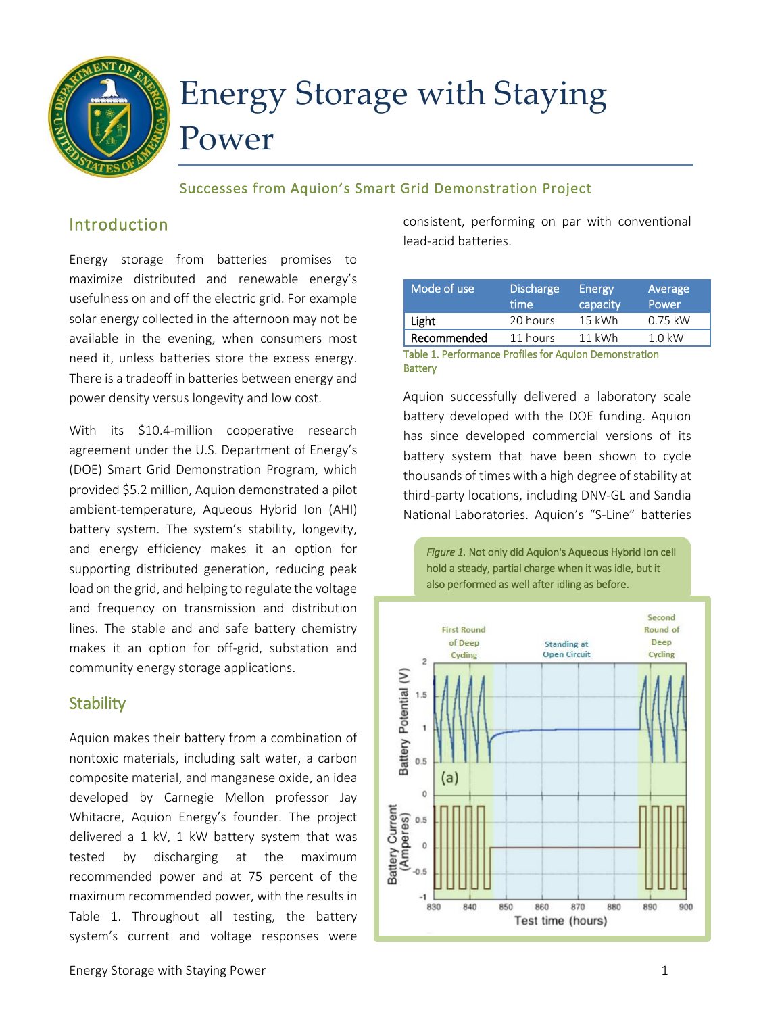

# Energy Storage with Staying Power

#### Successes from Aquion's Smart Grid Demonstration Project

# Introduction

Energy storage from batteries promises to maximize distributed and renewable energy's usefulness on and off the electric grid. For example solar energy collected in the afternoon may not be available in the evening, when consumers most need it, unless batteries store the excess energy. There is a tradeoff in batteries between energy and power density versus longevity and low cost.

With its \$10.4-million cooperative research agreement under the U.S. Department of Energy's (DOE) Smart Grid Demonstration Program, which provided \$5.2 million, Aquion demonstrated a pilot ambient-temperature, Aqueous Hybrid Ion (AHI) battery system. The system's stability, longevity, and energy efficiency makes it an option for supporting distributed generation, reducing peak load on the grid, and helping to regulate the voltage and frequency on transmission and distribution lines. The stable and and safe battery chemistry makes it an option for off-grid, substation and community energy storage applications.

## **Stability**

Aquion makes their battery from a combination of nontoxic materials, including salt water, a carbon composite material, and manganese oxide, an idea developed by Carnegie Mellon professor Jay Whitacre, Aquion Energy's founder. The project delivered a 1 kV, 1 kW battery system that was tested by discharging at the maximum recommended power and at 75 percent of the maximum recommended power, with the results in Table 1. Throughout all testing, the battery system's current and voltage responses were

consistent, performing on par with conventional lead-acid batteries.

| Mode of use | <b>Discharge</b><br>time | Energy<br>capacity | Average<br>Power |
|-------------|--------------------------|--------------------|------------------|
| Light       | 20 hours                 | $15$ kWh           | $0.75$ kW        |
| Recommended | 11 hours                 | $11$ kWh           | $1.0$ kW         |
| _ _ _       |                          |                    |                  |

Table 1. Performance Profiles for Aquion Demonstration **Battery** 

Aquion successfully delivered a laboratory scale battery developed with the DOE funding. Aquion has since developed commercial versions of its battery system that have been shown to cycle thousands of times with a high degree of stability at third-party locations, including DNV-GL and Sandia National Laboratories. Aquion's "S-Line" batteries



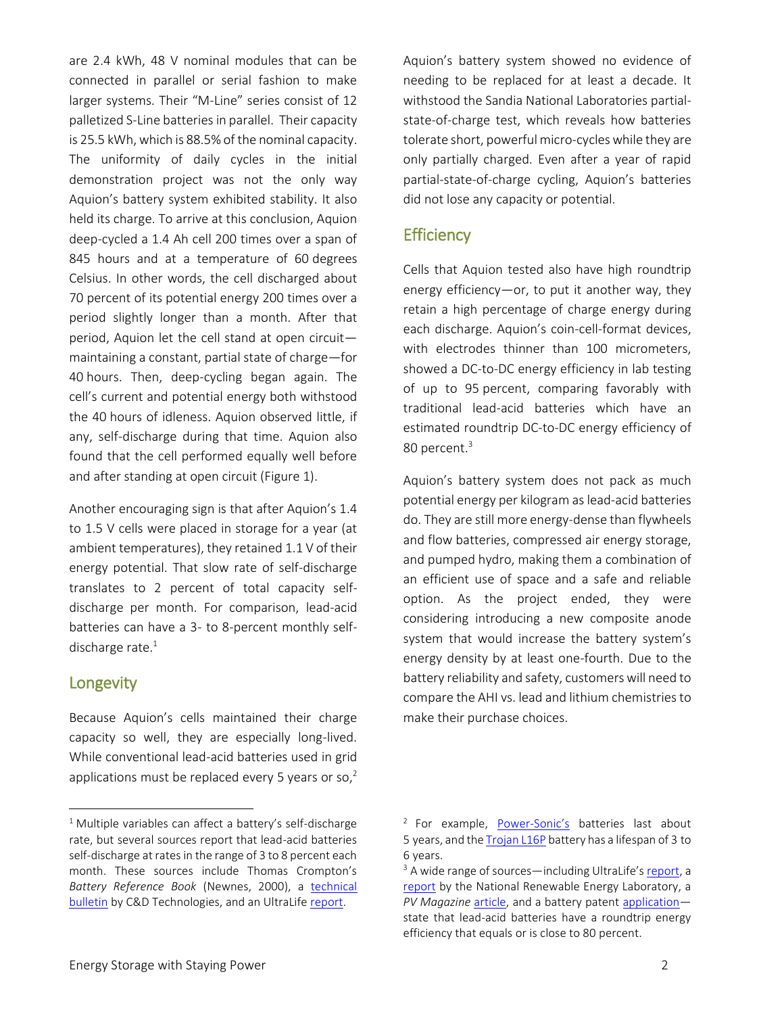are 2.4 kWh, 48 V nominal modules that can be connected in parallel or serial fashion to make larger systems. Their "M-Line" series consist of 12 palletized S-Line batteries in parallel. Their capacity is 25.5 kWh, which is 88.5% of the nominal capacity. The uniformity of daily cycles in the initial demonstration project was not the only way Aquion's battery system exhibited stability. It also held its charge. To arrive at this conclusion, Aquion deep-cycled a 1.4 Ah cell 200 times over a span of 845 hours and at a temperature of 60 degrees Celsius. In other words, the cell discharged about 70 percent of its potential energy 200 times over a period slightly longer than a month. After that period, Aquion let the cell stand at open circuit maintaining a constant, partial state of charge—for 40 hours. Then, deep-cycling began again. The cell's current and potential energy both withstood the 40 hours of idleness. Aquion observed little, if any, self-discharge during that time. Aquion also found that the cell performed equally well before and after standing at open circuit (Figure 1).

Another encouraging sign is that after Aquion's 1.4 to 1.5 V cells were placed in storage for a year (at ambient temperatures), they retained 1.1 V of their energy potential. That slow rate of self-discharge translates to 2 percent of total capacity selfdischarge per month. For comparison, lead-acid batteries can have a 3- to 8-percent monthly selfdischarge rate. $1$ 

#### **Longevity**

 $\overline{\phantom{a}}$ 

Because Aquion's cells maintained their charge capacity so well, they are especially long-lived. While conventional lead-acid batteries used in grid applications must be replaced every 5 years or so, $2$ 

Aquion's battery system showed no evidence of needing to be replaced for at least a decade. It withstood the Sandia National Laboratories partialstate-of-charge test, which reveals how batteries tolerate short, powerful micro-cycles while they are only partially charged. Even after a year of rapid partial-state-of-charge cycling, Aquion's batteries did not lose any capacity or potential.

#### **Efficiency**

Cells that Aquion tested also have high roundtrip energy efficiency—or, to put it another way, they retain a high percentage of charge energy during each discharge. Aquion's coin-cell-format devices, with electrodes thinner than 100 micrometers, showed a DC-to-DC energy efficiency in lab testing of up to 95 percent, comparing favorably with traditional lead-acid batteries which have an estimated roundtrip DC-to-DC energy efficiency of 80 percent.<sup>3</sup>

Aquion's battery system does not pack as much potential energy per kilogram as lead-acid batteries do. They are still more energy-dense than flywheels and flow batteries, compressed air energy storage, and pumped hydro, making them a combination of an efficient use of space and a safe and reliable option. As the project ended, they were considering introducing a new composite anode system that would increase the battery system's energy density by at least one-fourth. Due to the battery reliability and safety, customers will need to compare the AHI vs. lead and lithium chemistries to make their purchase choices.

 $1$  Multiple variables can affect a battery's self-discharge rate, but several sources report that lead-acid batteries self-discharge at rates in the range of 3 to 8 percent each month. These sources include Thomas Crompton's *Battery Reference Book* (Newnes, 2000), a [technical](http://www.cdtechno.com/pdf/ref/41_7272_0112.pdf)  [bulletin](http://www.cdtechno.com/pdf/ref/41_7272_0112.pdf) by C&D Technologies, and an UltraLife [report.](http://ultralifecorporation.com/download/275/)

<sup>&</sup>lt;sup>2</sup> For example, **[Power-](https://www.ken-lab.com/attachments/article/13/powersonicmanual.pdf)Sonic's** batteries last about 5 years, and th[e Trojan L16P](http://www.solarelectricsupply.com/trojan-l16p-6v-deep-cycle-battery-132) battery has a lifespan of 3 to 6 years.

<sup>&</sup>lt;sup>3</sup> A wide range of sources—including UltraLife's [report,](http://ultralifecorporation.com/download/275/) a [report](http://www.nrel.gov/docs/legosti/fy97/22309.pdf) by the National Renewable Energy Laboratory, a PV Magazine [article,](http://www.pv-magazine.com/archive/articles/beitrag/advancing-li-ion-_100006681/501/#axzz3GtXpeCAT) and a battery patent [application](https://www.google.com/patents/US20130309550?dq=patent+application+US+20130309550+A1&hl=en&sa=X&ei=heNHVOT9LM-TyATXs4LgDA&ved=0CB8Q6AEwAA)state that lead-acid batteries have a roundtrip energy efficiency that equals or is close to 80 percent.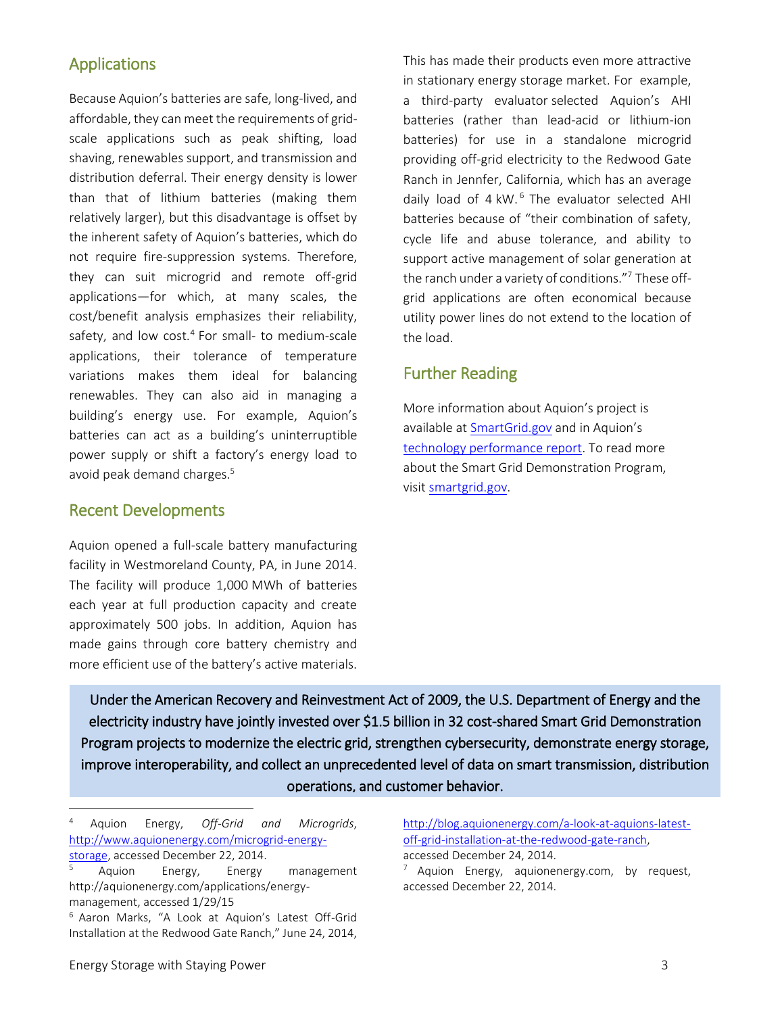## Applications

Because Aquion's batteries are safe, long-lived, and affordable, they can meet the requirements of gridscale applications such as peak shifting, load shaving, renewables support, and transmission and distribution deferral. Their energy density is lower than that of lithium batteries (making them relatively larger), but this disadvantage is offset by the inherent safety of Aquion's batteries, which do not require fire-suppression systems. Therefore, they can suit microgrid and remote off-grid applications—for which, at many scales, the cost/benefit analysis emphasizes their reliability, safety, and low cost.<sup>4</sup> For small- to medium-scale applications, their tolerance of temperature variations makes them ideal for balancing renewables. They can also aid in managing a building's energy use. For example, Aquion's batteries can act as a building's uninterruptible power supply or shift a factory's energy load to avoid peak demand charges. 5

#### Recent Developments

Aquion opened a full-scale battery manufacturing facility in Westmoreland County, PA, in June 2014. The facility will produce 1,000 MWh of batteries each year at full production capacity and create approximately 500 jobs. In addition, Aquion has made gains through core battery chemistry and more efficient use of the battery's active materials. This has made their products even more attractive in stationary energy storage market. For example, a third-party evaluator selected Aquion's AHI batteries (rather than lead-acid or lithium-ion batteries) for use in a standalone microgrid providing off-grid electricity to the Redwood Gate Ranch in Jennfer, California, which has an average daily load of 4 kW. <sup>6</sup> The evaluator selected AHI batteries because of "their combination of safety, cycle life and abuse tolerance, and ability to support active management of solar generation at the ranch under a variety of conditions."<sup>7</sup> These offgrid applications are often economical because utility power lines do not extend to the location of the load.

#### Further Reading

More information about Aquion's project is available at [SmartGrid.gov](https://www.smartgrid.gov/project/aquion_energy_sodium_ion_battery_grid_level_applications) and in Aquion's [technology performance report.](https://smartgrid.gov/sites/default/files/Aquion_Energy_DE-0000226_Final_Report.pdf) To read more about the Smart Grid Demonstration Program, visit [smartgrid.gov.](https://smartgrid.gov/recovery_act/overview/smart_grid_demonstration_program)

Under the American Recovery and Reinvestment Act of 2009, the U.S. Department of Energy and the electricity industry have jointly invested over \$1.5 billion in 32 cost-shared Smart Grid Demonstration Program projects to modernize the electric grid, strengthen cybersecurity, demonstrate energy storage, improve interoperability, and collect an unprecedented level of data on smart transmission, distribution operations, and customer behavior.

[http://blog.aquionenergy.com/a-look-at-aquions-latest](http://blog.aquionenergy.com/a-look-at-aquions-latest-off-grid-installation-at-the-redwood-gate-ranch)[off-grid-installation-at-the-redwood-gate-ranch,](http://blog.aquionenergy.com/a-look-at-aquions-latest-off-grid-installation-at-the-redwood-gate-ranch)  accessed December 24, 2014.

 $7$  Aquion Energy, aquionenergy.com, by request, accessed December 22, 2014.

 $\overline{\phantom{a}}$ 

<sup>4</sup> Aquion Energy, *Off-Grid and Microgrids*, [http://www.aquionenergy.com/microgrid-energy](http://www.aquionenergy.com/microgrid-energy-storage)[storage,](http://www.aquionenergy.com/microgrid-energy-storage) accessed December 22, 2014.

Aquion Energy, Energy management http://aquionenergy.com/applications/energymanagement, accessed 1/29/15

<sup>6</sup> Aaron Marks, "A Look at Aquion's Latest Off-Grid Installation at the Redwood Gate Ranch," June 24, 2014,